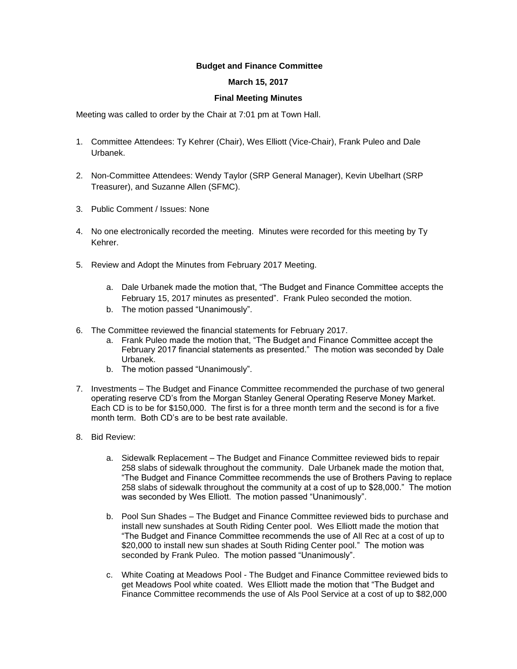## **Budget and Finance Committee**

## **March 15, 2017**

## **Final Meeting Minutes**

Meeting was called to order by the Chair at 7:01 pm at Town Hall.

- 1. Committee Attendees: Ty Kehrer (Chair), Wes Elliott (Vice-Chair), Frank Puleo and Dale Urbanek.
- 2. Non-Committee Attendees: Wendy Taylor (SRP General Manager), Kevin Ubelhart (SRP Treasurer), and Suzanne Allen (SFMC).
- 3. Public Comment / Issues: None
- 4. No one electronically recorded the meeting. Minutes were recorded for this meeting by Ty Kehrer.
- 5. Review and Adopt the Minutes from February 2017 Meeting.
	- a. Dale Urbanek made the motion that, "The Budget and Finance Committee accepts the February 15, 2017 minutes as presented". Frank Puleo seconded the motion.
	- b. The motion passed "Unanimously".
- 6. The Committee reviewed the financial statements for February 2017.
	- a. Frank Puleo made the motion that, "The Budget and Finance Committee accept the February 2017 financial statements as presented." The motion was seconded by Dale Urbanek.
	- b. The motion passed "Unanimously".
- 7. Investments The Budget and Finance Committee recommended the purchase of two general operating reserve CD's from the Morgan Stanley General Operating Reserve Money Market. Each CD is to be for \$150,000. The first is for a three month term and the second is for a five month term. Both CD's are to be best rate available.
- 8. Bid Review:
	- a. Sidewalk Replacement The Budget and Finance Committee reviewed bids to repair 258 slabs of sidewalk throughout the community. Dale Urbanek made the motion that, "The Budget and Finance Committee recommends the use of Brothers Paving to replace 258 slabs of sidewalk throughout the community at a cost of up to \$28,000." The motion was seconded by Wes Elliott. The motion passed "Unanimously".
	- b. Pool Sun Shades The Budget and Finance Committee reviewed bids to purchase and install new sunshades at South Riding Center pool. Wes Elliott made the motion that "The Budget and Finance Committee recommends the use of All Rec at a cost of up to \$20,000 to install new sun shades at South Riding Center pool." The motion was seconded by Frank Puleo. The motion passed "Unanimously".
	- c. White Coating at Meadows Pool The Budget and Finance Committee reviewed bids to get Meadows Pool white coated. Wes Elliott made the motion that "The Budget and Finance Committee recommends the use of Als Pool Service at a cost of up to \$82,000